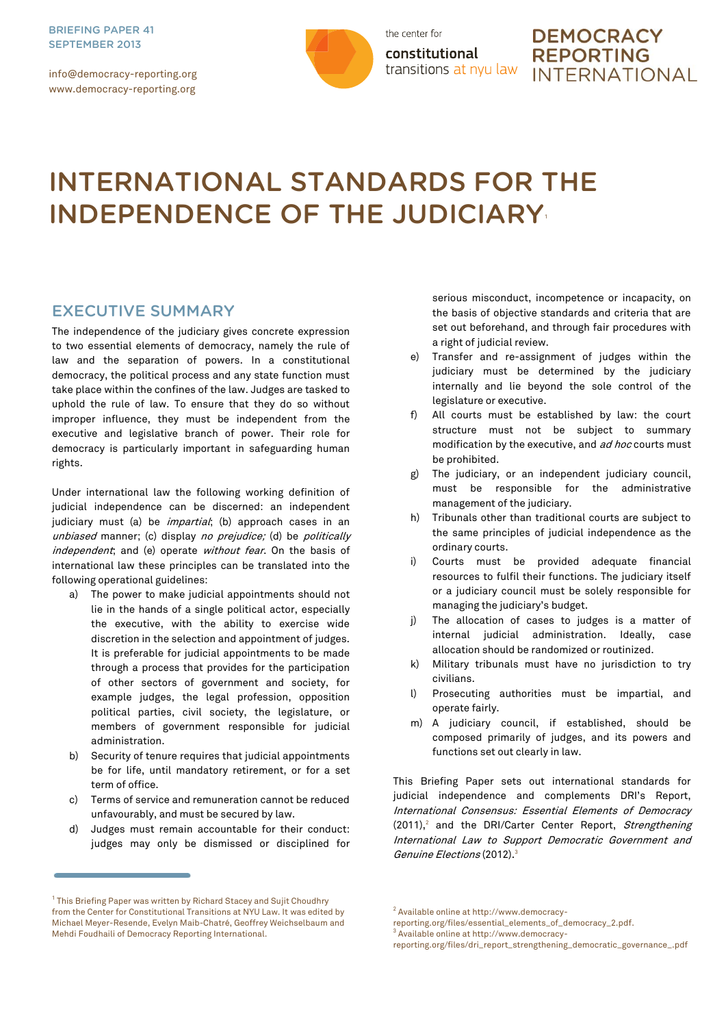info@democracy-reporting.org www.democracy-reporting.org



the center for constitutional transitions at nyu law

# **DEMOCRACY REPORTING INTERNATIONAL**

# INTERNATIONAL STANDARDS FOR THE INDEPENDENCE OF THE JUDICIARY

## EXECUTIVE SUMMARY

The independence of the judiciary gives concrete expression to two essential elements of democracy, namely the rule of law and the separation of powers. In a constitutional democracy, the political process and any state function must take place within the confines of the law. Judges are tasked to uphold the rule of law. To ensure that they do so without improper influence, they must be independent from the executive and legislative branch of power. Their role for democracy is particularly important in safeguarding human rights.

Under international law the following working definition of judicial independence can be discerned: an independent judiciary must (a) be *impartial*; (b) approach cases in an unbiased manner; (c) display no prejudice; (d) be politically independent; and (e) operate without fear. On the basis of international law these principles can be translated into the following operational guidelines:

- a) The power to make judicial appointments should not lie in the hands of a single political actor, especially the executive, with the ability to exercise wide discretion in the selection and appointment of judges. It is preferable for judicial appointments to be made through a process that provides for the participation of other sectors of government and society, for example judges, the legal profession, opposition political parties, civil society, the legislature, or members of government responsible for judicial administration.
- b) Security of tenure requires that judicial appointments be for life, until mandatory retirement, or for a set term of office.
- c) Terms of service and remuneration cannot be reduced unfavourably, and must be secured by law.
- d) Judges must remain accountable for their conduct: judges may only be dismissed or disciplined for

serious misconduct, incompetence or incapacity, on the basis of objective standards and criteria that are set out beforehand, and through fair procedures with a right of judicial review.

- e) Transfer and re-assignment of judges within the judiciary must be determined by the judiciary internally and lie beyond the sole control of the legislature or executive.
- f) All courts must be established by law: the court structure must not be subject to summary modification by the executive, and ad hoc courts must be prohibited.
- g) The judiciary, or an independent judiciary council, must be responsible for the administrative management of the judiciary.
- h) Tribunals other than traditional courts are subject to the same principles of judicial independence as the ordinary courts.
- i) Courts must be provided adequate financial resources to fulfil their functions. The judiciary itself or a judiciary council must be solely responsible for managing the judiciary's budget.
- j) The allocation of cases to judges is a matter of internal judicial administration. Ideally, case allocation should be randomized or routinized.
- k) Military tribunals must have no jurisdiction to try civilians.
- l) Prosecuting authorities must be impartial, and operate fairly.
- m) A judiciary council, if established, should be composed primarily of judges, and its powers and functions set out clearly in law.

This Briefing Paper sets out international standards for judicial independence and complements DRI's Report, International Consensus: Essential Elements of Democracy (2011),<sup>2</sup> and the DRI/Carter Center Report, *Strengthening* International Law to Support Democratic Government and Genuine Elections (2012).<sup>3</sup>

 $^1$  This Briefing Paper was written by Richard Stacey and Sujit Choudhry from the Center for Constitutional Transitions at NYU Law. It was edited by Michael Meyer-Resende, Evelyn Maib-Chatré, Geoffrey Weichselbaum and Mehdi Foudhaili of Democracy Reporting International.

<sup>&</sup>lt;sup>2</sup> Available online a[t http://www.democracy-](http://www.democracy-reporting.org/files/essential_elements_of_democracy_2.pdf)

[reporting.org/files/essential\\_elements\\_of\\_democracy\\_2.pdf.](http://www.democracy-reporting.org/files/essential_elements_of_democracy_2.pdf)

<sup>3</sup> Available online a[t http://www.democracy-](http://www.democracy-reporting.org/files/dri_report_strengthening_democratic_governance_.pdf)

[reporting.org/files/dri\\_report\\_strengthening\\_democratic\\_governance\\_.pdf](http://www.democracy-reporting.org/files/dri_report_strengthening_democratic_governance_.pdf)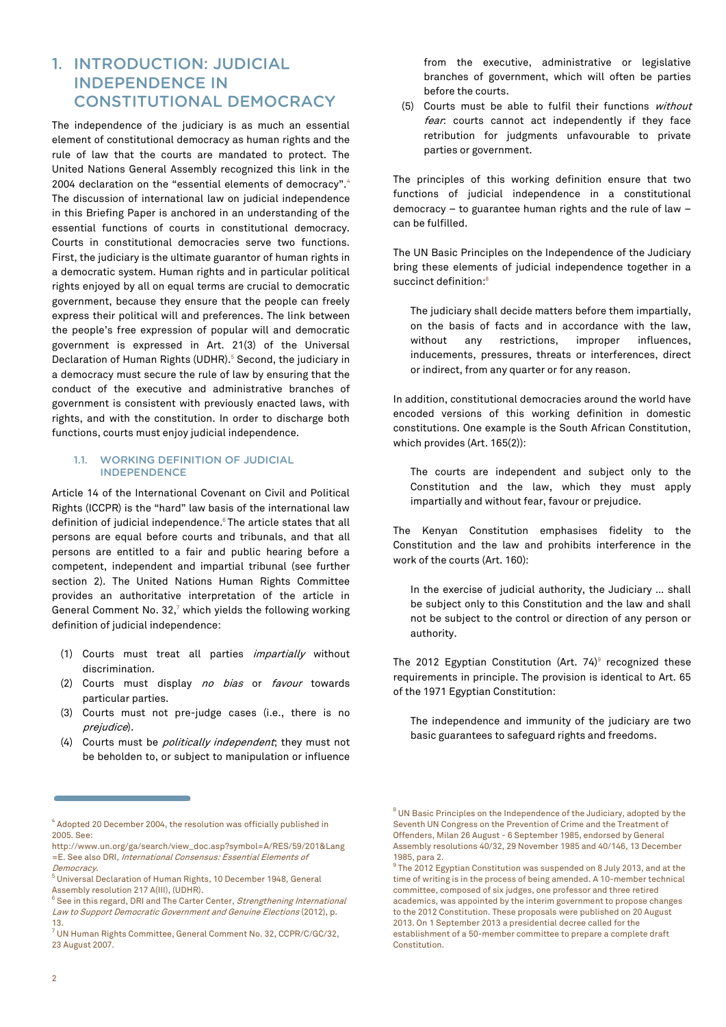# 1. INTRODUCTION: JUDICIAL INDEPENDENCE IN CONSTITUTIONAL DEMOCRACY

The independence of the judiciary is as much an essential element of constitutional democracy as human rights and the rule of law that the courts are mandated to protect. The United Nations General Assembly recognized this link in the 2004 declaration on the "essential elements of democracy".<sup>4</sup> The discussion of international law on judicial independence in this Briefing Paper is anchored in an understanding of the essential functions of courts in constitutional democracy. Courts in constitutional democracies serve two functions. First, the judiciary is the ultimate guarantor of human rights in a democratic system. Human rights and in particular political rights enjoyed by all on equal terms are crucial to democratic government, because they ensure that the people can freely express their political will and preferences. The link between the people's free expression of popular will and democratic government is expressed in Art. 21(3) of the Universal Declaration of Human Rights (UDHR).<sup>5</sup> Second, the judiciary in a democracy must secure the rule of law by ensuring that the conduct of the executive and administrative branches of government is consistent with previously enacted laws, with rights, and with the constitution. In order to discharge both functions, courts must enjoy judicial independence.

#### 1.1. WORKING DEFINITION OF JUDICIAL INDEPENDENCE

Article 14 of the International Covenant on Civil and Political Rights (ICCPR) is the "hard" law basis of the international law definition of judicial independence.<sup>6</sup> The article states that all persons are equal before courts and tribunals, and that all persons are entitled to a fair and public hearing before a competent, independent and impartial tribunal (see further section 2). The United Nations Human Rights Committee provides an authoritative interpretation of the article in General Comment No. 32, $<sup>7</sup>$  which yields the following working</sup> definition of judicial independence:

- (1) Courts must treat all parties *impartially* without discrimination.
- (2) Courts must display no bias or favour towards particular parties.
- (3) Courts must not pre-judge cases (i.e., there is no prejudice).
- (4) Courts must be *politically independent*; they must not be beholden to, or subject to manipulation or influence

from the executive, administrative or legislative branches of government, which will often be parties before the courts.

(5) Courts must be able to fulfil their functions without fear: courts cannot act independently if they face retribution for judgments unfavourable to private parties or government.

The principles of this working definition ensure that two functions of judicial independence in a constitutional democracy – to guarantee human rights and the rule of law – can be fulfilled.

The UN Basic Principles on the Independence of the Judiciary bring these elements of judicial independence together in a succinct definition:<sup>8</sup>

The judiciary shall decide matters before them impartially, on the basis of facts and in accordance with the law, without any restrictions, improper influences, inducements, pressures, threats or interferences, direct or indirect, from any quarter or for any reason.

In addition, constitutional democracies around the world have encoded versions of this working definition in domestic constitutions. One example is the South African Constitution, which provides (Art. 165(2)):

The courts are independent and subject only to the Constitution and the law, which they must apply impartially and without fear, favour or prejudice.

The Kenyan Constitution emphasises fidelity to the Constitution and the law and prohibits interference in the work of the courts (Art. 160):

In the exercise of judicial authority, the Judiciary … shall be subject only to this Constitution and the law and shall not be subject to the control or direction of any person or authority.

The 2012 Egyptian Constitution (Art. 74) $\textdegree$  recognized these requirements in principle. The provision is identical to Art. 65 of the 1971 Egyptian Constitution:

The independence and immunity of the judiciary are two basic guarantees to safeguard rights and freedoms.

 $^4$  Adopted 20 December 2004, the resolution was officially published in 2005. See:

[http://www.un.org/ga/search/view\\_doc.asp?symbol=A/RES/59/201&Lang](http://www.un.org/ga/search/view_doc.asp?symbol=A/RES/59/201&Lang=E) [=E.](http://www.un.org/ga/search/view_doc.asp?symbol=A/RES/59/201&Lang=E) See also DRI, International Consensus: Essential Elements of Democracy.

<sup>5</sup> Universal Declaration of Human Rights, 10 December 1948, General Assembly resolution 217 A(III), (UDHR).

 $^6$  See in this regard, DRI and The Carter Center, *Strengthening International* Law to Support Democratic Government and Genuine Elections (2012), p. 13.

<sup>7</sup> UN Human Rights Committee, General Comment No. 32, CCPR/C/GC/32, 23 August 2007.

<sup>&</sup>lt;sup>8</sup> UN Basic Principles on the Independence of the Judiciary, adopted by the Seventh UN Congress on the Prevention of Crime and the Treatment of Offenders, Milan 26 August - 6 September 1985, endorsed by General Assembly resolutions 40/32, 29 November 1985 and 40/146, 13 December 1985, para 2.

 $9$  The 2012 Egyptian Constitution was suspended on 8 July 2013, and at the time of writing is in the process of being amended. A 10-member technical committee, composed of six judges, one professor and three retired academics, was appointed by the interim government to propose changes to the 2012 Constitution. These proposals were published on 20 August 2013. On 1 September 2013 a presidential decree called for the establishment of a 50-member committee to prepare a complete draft Constitution.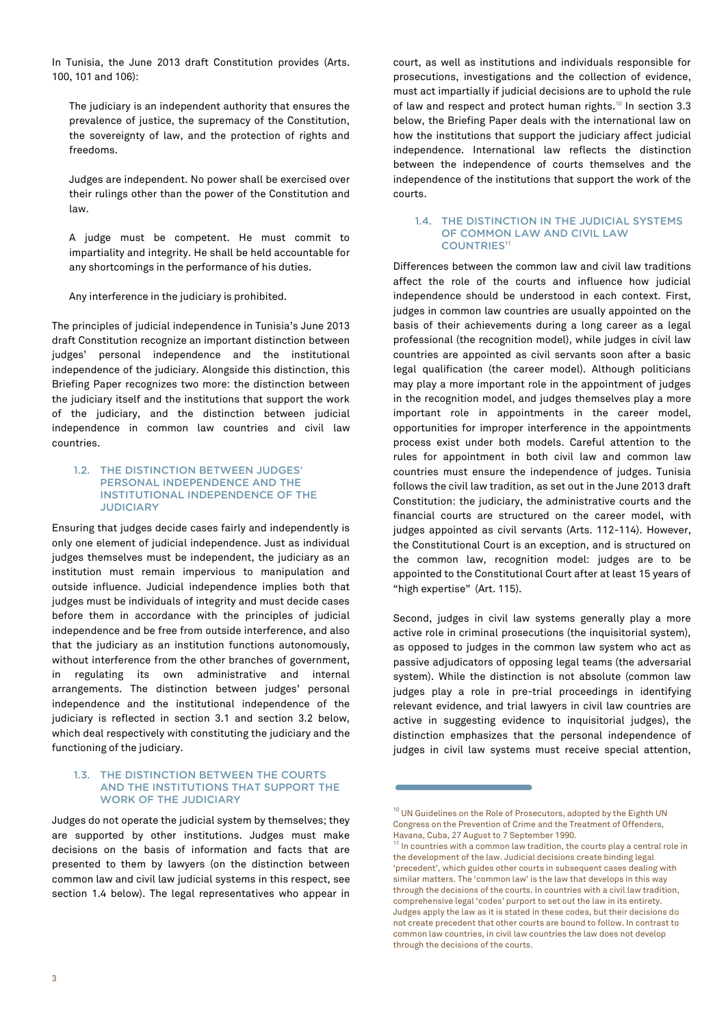In Tunisia, the June 2013 draft Constitution provides (Arts. 100, 101 and 106):

The judiciary is an independent authority that ensures the prevalence of justice, the supremacy of the Constitution, the sovereignty of law, and the protection of rights and freedoms.

Judges are independent. No power shall be exercised over their rulings other than the power of the Constitution and law.

A judge must be competent. He must commit to impartiality and integrity. He shall be held accountable for any shortcomings in the performance of his duties.

Any interference in the judiciary is prohibited.

The principles of judicial independence in Tunisia's June 2013 draft Constitution recognize an important distinction between judges' personal independence and the institutional independence of the judiciary. Alongside this distinction, this Briefing Paper recognizes two more: the distinction between the judiciary itself and the institutions that support the work of the judiciary, and the distinction between judicial independence in common law countries and civil law countries.

#### 1.2. THE DISTINCTION BETWEEN JUDGES' PERSONAL INDEPENDENCE AND THE INSTITUTIONAL INDEPENDENCE OF THE **JUDICIARY**

Ensuring that judges decide cases fairly and independently is only one element of judicial independence. Just as individual judges themselves must be independent, the judiciary as an institution must remain impervious to manipulation and outside influence. Judicial independence implies both that judges must be individuals of integrity and must decide cases before them in accordance with the principles of judicial independence and be free from outside interference, and also that the judiciary as an institution functions autonomously, without interference from the other branches of government, in regulating its own administrative and internal arrangements. The distinction between judges' personal independence and the institutional independence of the judiciary is reflected in section 3.1 and section 3.2 below, which deal respectively with constituting the judiciary and the functioning of the judiciary.

#### 1.3. THE DISTINCTION BETWEEN THE COURTS AND THE INSTITUTIONS THAT SUPPORT THE WORK OF THE JUDICIARY

Judges do not operate the judicial system by themselves; they are supported by other institutions. Judges must make decisions on the basis of information and facts that are presented to them by lawyers (on the distinction between common law and civil law judicial systems in this respect, see section 1.4 below). The legal representatives who appear in

court, as well as institutions and individuals responsible for prosecutions, investigations and the collection of evidence, must act impartially if judicial decisions are to uphold the rule of law and respect and protect human rights.<sup>10</sup> In section 3.3 below, the Briefing Paper deals with the international law on how the institutions that support the judiciary affect judicial independence. International law reflects the distinction between the independence of courts themselves and the independence of the institutions that support the work of the courts.

#### 1.4. THE DISTINCTION IN THE JUDICIAL SYSTEMS OF COMMON LAW AND CIVIL LAW **COUNTRIES<sup>11</sup>**

Differences between the common law and civil law traditions affect the role of the courts and influence how judicial independence should be understood in each context. First, judges in common law countries are usually appointed on the basis of their achievements during a long career as a legal professional (the recognition model), while judges in civil law countries are appointed as civil servants soon after a basic legal qualification (the career model). Although politicians may play a more important role in the appointment of judges in the recognition model, and judges themselves play a more important role in appointments in the career model, opportunities for improper interference in the appointments process exist under both models. Careful attention to the rules for appointment in both civil law and common law countries must ensure the independence of judges. Tunisia follows the civil law tradition, as set out in the June 2013 draft Constitution: the judiciary, the administrative courts and the financial courts are structured on the career model, with judges appointed as civil servants (Arts. 112-114). However, the Constitutional Court is an exception, and is structured on the common law, recognition model: judges are to be appointed to the Constitutional Court after at least 15 years of "high expertise" (Art. 115).

Second, judges in civil law systems generally play a more active role in criminal prosecutions (the inquisitorial system), as opposed to judges in the common law system who act as passive adjudicators of opposing legal teams (the adversarial system). While the distinction is not absolute (common law judges play a role in pre-trial proceedings in identifying relevant evidence, and trial lawyers in civil law countries are active in suggesting evidence to inquisitorial judges), the distinction emphasizes that the personal independence of judges in civil law systems must receive special attention,

<sup>&</sup>lt;sup>10</sup> UN Guidelines on the Role of Prosecutors, adopted by the Eighth UN Congress on the Prevention of Crime and the Treatment of Offenders, Havana, Cuba, 27 August to 7 September 1990.

<sup>&</sup>lt;sup>11</sup> In countries with a common law tradition, the courts play a central role in the development of the law. Judicial decisions create binding legal 'precedent', which guides other courts in subsequent cases dealing with similar matters. The 'common law' is the law that develops in this way through the decisions of the courts. In countries with a civil law tradition, comprehensive legal 'codes' purport to set out the law in its entirety. Judges apply the law as it is stated in these codes, but their decisions do not create precedent that other courts are bound to follow. In contrast to common law countries, in civil law countries the law does not develop through the decisions of the courts.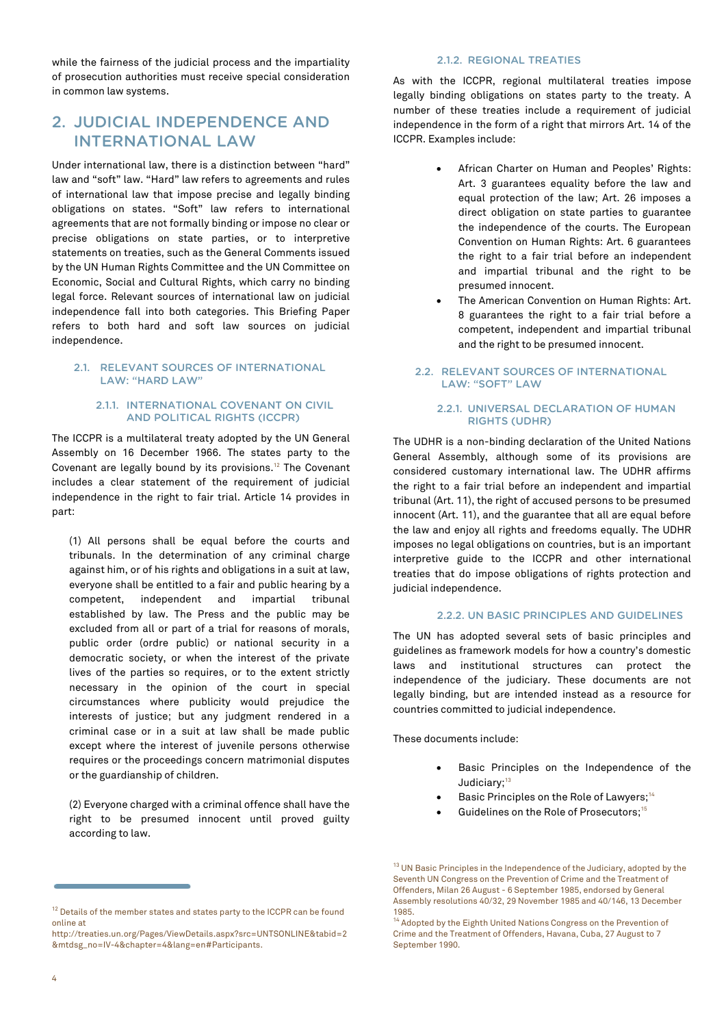while the fairness of the judicial process and the impartiality of prosecution authorities must receive special consideration in common law systems.

# 2. JUDICIAL INDEPENDENCE AND INTERNATIONAL LAW

Under international law, there is a distinction between "hard" law and "soft" law. "Hard" law refers to agreements and rules of international law that impose precise and legally binding obligations on states. "Soft" law refers to international agreements that are not formally binding or impose no clear or precise obligations on state parties, or to interpretive statements on treaties, such as the General Comments issued by the UN Human Rights Committee and the UN Committee on Economic, Social and Cultural Rights, which carry no binding legal force. Relevant sources of international law on judicial independence fall into both categories. This Briefing Paper refers to both hard and soft law sources on judicial independence.

#### 2.1. RELEVANT SOURCES OF INTERNATIONAL LAW: "HARD LAW"

#### 2.1.1. INTERNATIONAL COVENANT ON CIVIL AND POLITICAL RIGHTS (ICCPR)

The ICCPR is a multilateral treaty adopted by the UN General Assembly on 16 December 1966. The states party to the Covenant are legally bound by its provisions.<sup>12</sup> The Covenant includes a clear statement of the requirement of judicial independence in the right to fair trial. Article 14 provides in part:

(1) All persons shall be equal before the courts and tribunals. In the determination of any criminal charge against him, or of his rights and obligations in a suit at law, everyone shall be entitled to a fair and public hearing by a competent, independent and impartial tribunal established by law. The Press and the public may be excluded from all or part of a trial for reasons of morals, public order (ordre public) or national security in a democratic society, or when the interest of the private lives of the parties so requires, or to the extent strictly necessary in the opinion of the court in special circumstances where publicity would prejudice the interests of justice; but any judgment rendered in a criminal case or in a suit at law shall be made public except where the interest of juvenile persons otherwise requires or the proceedings concern matrimonial disputes or the guardianship of children.

(2) Everyone charged with a criminal offence shall have the right to be presumed innocent until proved guilty according to law.

#### 2.1.2. REGIONAL TREATIES

As with the ICCPR, regional multilateral treaties impose legally binding obligations on states party to the treaty. A number of these treaties include a requirement of judicial independence in the form of a right that mirrors Art. 14 of the ICCPR. Examples include:

- African Charter on Human and Peoples' Rights: Art. 3 guarantees equality before the law and equal protection of the law; Art. 26 imposes a direct obligation on state parties to guarantee the independence of the courts. The European Convention on Human Rights: Art. 6 guarantees the right to a fair trial before an independent and impartial tribunal and the right to be presumed innocent.
- The American Convention on Human Rights: Art. 8 guarantees the right to a fair trial before a competent, independent and impartial tribunal and the right to be presumed innocent.

#### 2.2. RELEVANT SOURCES OF INTERNATIONAL LAW: "SOFT" LAW

#### 2.2.1. UNIVERSAL DECLARATION OF HUMAN RIGHTS (UDHR)

The UDHR is a non-binding declaration of the United Nations General Assembly, although some of its provisions are considered customary international law. The UDHR affirms the right to a fair trial before an independent and impartial tribunal (Art. 11), the right of accused persons to be presumed innocent (Art. 11), and the guarantee that all are equal before the law and enjoy all rights and freedoms equally. The UDHR imposes no legal obligations on countries, but is an important interpretive guide to the ICCPR and other international treaties that do impose obligations of rights protection and judicial independence.

#### 2.2.2. UN BASIC PRINCIPLES AND GUIDELINES

The UN has adopted several sets of basic principles and guidelines as framework models for how a country's domestic laws and institutional structures can protect the independence of the judiciary. These documents are not legally binding, but are intended instead as a resource for countries committed to judicial independence.

These documents include:

- Basic Principles on the Independence of the Judiciary;<sup>13</sup>
- Basic Principles on the Role of Lawyers;<sup>14</sup>
- Guidelines on the Role of Prosecutors:<sup>15</sup>

 $^{12}$  Details of the member states and states party to the ICCPR can be found online at

[http://treaties.un.org/Pages/ViewDetails.aspx?src=UNTSONLINE&tabid=2](http://treaties.un.org/Pages/ViewDetails.aspx?src=UNTSONLINE&tabid=2&mtdsg_no=IV-4&chapter=4&lang=en#Participants) [&mtdsg\\_no=IV-4&chapter=4&lang=en#Participants.](http://treaties.un.org/Pages/ViewDetails.aspx?src=UNTSONLINE&tabid=2&mtdsg_no=IV-4&chapter=4&lang=en#Participants)

 $13$  UN Basic Principles in the Independence of the Judiciary, adopted by the Seventh UN Congress on the Prevention of Crime and the Treatment of Offenders, Milan 26 August - 6 September 1985, endorsed by General Assembly resolutions 40/32, 29 November 1985 and 40/146, 13 December 1985.

 $^4$  Adopted by the Eighth United Nations Congress on the Prevention of Crime and the Treatment of Offenders, Havana, Cuba, 27 August to 7 September 1990.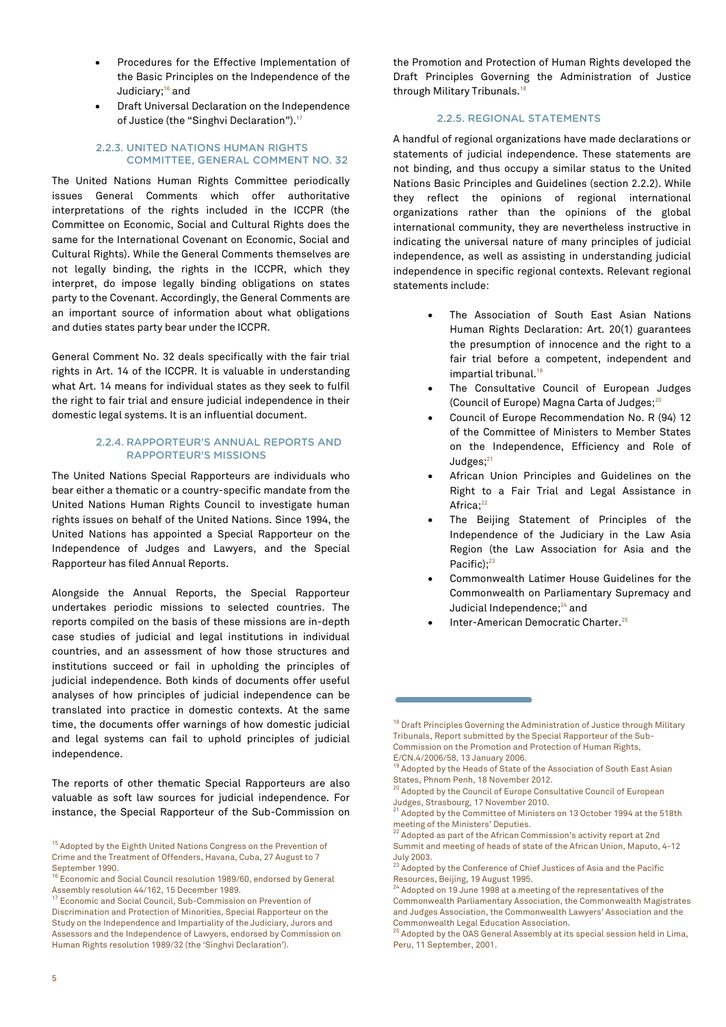- Procedures for the Effective Implementation of the Basic Principles on the Independence of the Judiciary;<sup>16</sup> and
- Draft Universal Declaration on the Independence of Justice (the "Singhvi Declaration").<sup>17</sup>

#### 2.2.3. UNITED NATIONS HUMAN RIGHTS COMMITTEE, GENERAL COMMENT NO. 32

The United Nations Human Rights Committee periodically issues General Comments which offer authoritative interpretations of the rights included in the ICCPR (the Committee on Economic, Social and Cultural Rights does the same for the International Covenant on Economic, Social and Cultural Rights). While the General Comments themselves are not legally binding, the rights in the ICCPR, which they interpret, do impose legally binding obligations on states party to the Covenant. Accordingly, the General Comments are an important source of information about what obligations and duties states party bear under the ICCPR.

General Comment No. 32 deals specifically with the fair trial rights in Art. 14 of the ICCPR. It is valuable in understanding what Art. 14 means for individual states as they seek to fulfil the right to fair trial and ensure judicial independence in their domestic legal systems. It is an influential document.

#### 2.2.4. RAPPORTEUR'S ANNUAL REPORTS AND RAPPORTEUR'S MISSIONS

The United Nations Special Rapporteurs are individuals who bear either a thematic or a country-specific mandate from the United Nations Human Rights Council to investigate human rights issues on behalf of the United Nations. Since 1994, the United Nations has appointed a Special Rapporteur on the Independence of Judges and Lawyers, and the Special Rapporteur has filed Annual Reports.

Alongside the Annual Reports, the Special Rapporteur undertakes periodic missions to selected countries. The reports compiled on the basis of these missions are in-depth case studies of judicial and legal institutions in individual countries, and an assessment of how those structures and institutions succeed or fail in upholding the principles of judicial independence. Both kinds of documents offer useful analyses of how principles of judicial independence can be translated into practice in domestic contexts. At the same time, the documents offer warnings of how domestic judicial and legal systems can fail to uphold principles of judicial independence.

The reports of other thematic Special Rapporteurs are also valuable as soft law sources for judicial independence. For instance, the Special Rapporteur of the Sub-Commission on the Promotion and Protection of Human Rights developed the Draft Principles Governing the Administration of Justice through Military Tribunals.<sup>18</sup>

### 2.2.5. REGIONAL STATEMENTS

A handful of regional organizations have made declarations or statements of judicial independence. These statements are not binding, and thus occupy a similar status to the United Nations Basic Principles and Guidelines (section 2.2.2). While they reflect the opinions of regional international organizations rather than the opinions of the global international community, they are nevertheless instructive in indicating the universal nature of many principles of judicial independence, as well as assisting in understanding judicial independence in specific regional contexts. Relevant regional statements include:

- The Association of South East Asian Nations Human Rights Declaration: Art. 20(1) guarantees the presumption of innocence and the right to a fair trial before a competent, independent and impartial tribunal.<sup>19</sup>
- The Consultative Council of European Judges (Council of Europe) Magna Carta of Judges;<sup>20</sup>
- Council of Europe Recommendation No. R (94) 12 of the Committee of Ministers to Member States on the Independence, Efficiency and Role of Judges: $21$
- African Union Principles and Guidelines on the Right to a Fair Trial and Legal Assistance in Africa;<sup>22</sup>
- The Beijing Statement of Principles of the Independence of the Judiciary in the Law Asia Region (the Law Association for Asia and the Pacific);<sup>23</sup>
- Commonwealth Latimer House Guidelines for the Commonwealth on Parliamentary Supremacy and Judicial Independence;<sup>24</sup> and
- Inter-American Democratic Charter.<sup>25</sup>

<sup>&</sup>lt;sup>15</sup> Adopted by the Eighth United Nations Congress on the Prevention of Crime and the Treatment of Offenders, Havana, Cuba, 27 August to 7 September 1990.

<sup>16</sup> Economic and Social Council resolution 1989/60, endorsed by General Assembly resolution 44/162, 15 December 1989.

<sup>&</sup>lt;sup>17</sup> Economic and Social Council, Sub-Commission on Prevention of Discrimination and Protection of Minorities, Special Rapporteur on the Study on the Independence and Impartiality of the Judiciary, Jurors and Assessors and the Independence of Lawyers, endorsed by Commission on Human Rights resolution 1989/32 (the 'Singhvi Declaration').

<sup>&</sup>lt;sup>18</sup> Draft Principles Governing the Administration of Justice through Military Tribunals, Report submitted by the Special Rapporteur of the Sub-Commission on the Promotion and Protection of Human Rights, E/CN.4/2006/58, 13 January 2006.

<sup>&</sup>lt;sup>19</sup> Adopted by the Heads of State of the Association of South East Asian States, Phnom Penh, 18 November 2012.

<sup>&</sup>lt;sup>20</sup> Adopted by the Council of Europe Consultative Council of European Judges, Strasbourg, 17 November 2010.

<sup>&</sup>lt;sup>21</sup> Adopted by the Committee of Ministers on 13 October 1994 at the 518th meeting of the Ministers' Deputies.

<sup>&</sup>lt;sup>22</sup> Adopted as part of the African Commission's activity report at 2nd Summit and meeting of heads of state of the African Union, Maputo, 4-12 July 2003.

<sup>&</sup>lt;sup>23</sup> Adopted by the Conference of Chief Justices of Asia and the Pacific Resources, Beijing, 19 August 1995.

<sup>&</sup>lt;sup>24</sup> Adopted on 19 June 1998 at a meeting of the representatives of the Commonwealth Parliamentary Association, the Commonwealth Magistrates and Judges Association, the Commonwealth Lawyers' Association and the Commonwealth Legal Education Association.

 $^{25}$  Adopted by the OAS General Assembly at its special session held in Lima, Peru, 11 September, 2001.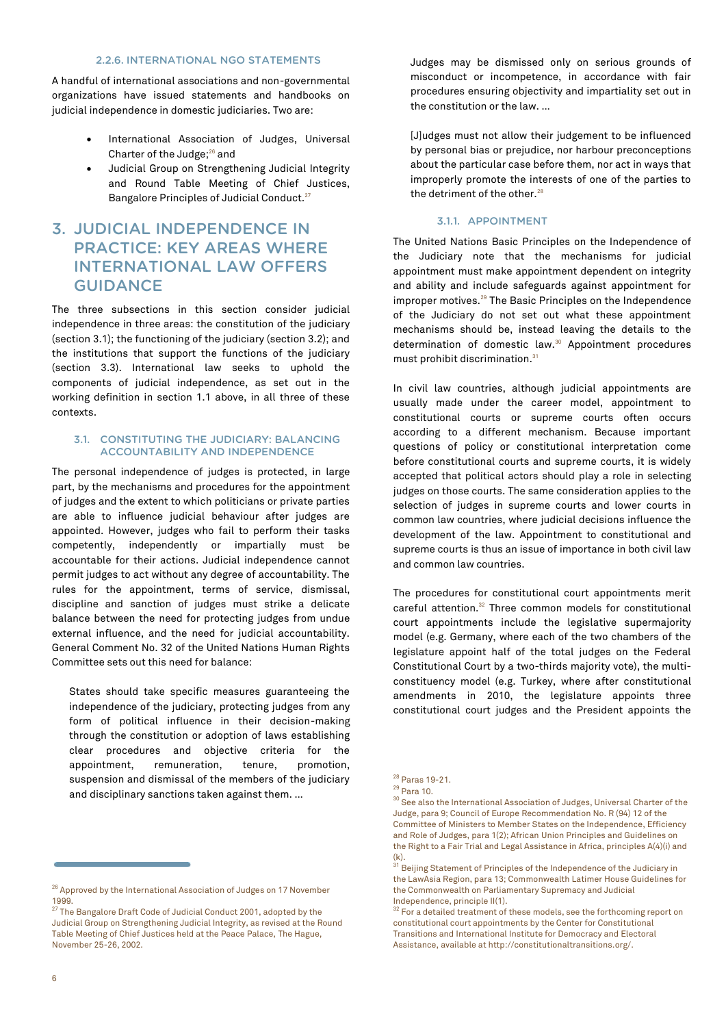#### 2.2.6. INTERNATIONAL NGO STATEMENTS

A handful of international associations and non-governmental organizations have issued statements and handbooks on judicial independence in domestic judiciaries. Two are:

- International Association of Judges, Universal Charter of the Judge;<sup>26</sup> and
- Judicial Group on Strengthening Judicial Integrity and Round Table Meeting of Chief Justices, Bangalore Principles of Judicial Conduct.<sup>27</sup>

# 3. JUDICIAL INDEPENDENCE IN PRACTICE: KEY AREAS WHERE INTERNATIONAL LAW OFFERS GUIDANCE

The three subsections in this section consider judicial independence in three areas: the constitution of the judiciary (section 3.1); the functioning of the judiciary (section 3.2); and the institutions that support the functions of the judiciary (section 3.3). International law seeks to uphold the components of judicial independence, as set out in the working definition in section 1.1 above, in all three of these contexts.

#### 3.1. CONSTITUTING THE JUDICIARY: BALANCING ACCOUNTABILITY AND INDEPENDENCE

The personal independence of judges is protected, in large part, by the mechanisms and procedures for the appointment of judges and the extent to which politicians or private parties are able to influence judicial behaviour after judges are appointed. However, judges who fail to perform their tasks competently, independently or impartially must be accountable for their actions. Judicial independence cannot permit judges to act without any degree of accountability. The rules for the appointment, terms of service, dismissal, discipline and sanction of judges must strike a delicate balance between the need for protecting judges from undue external influence, and the need for judicial accountability. General Comment No. 32 of the United Nations Human Rights Committee sets out this need for balance:

States should take specific measures guaranteeing the independence of the judiciary, protecting judges from any form of political influence in their decision-making through the constitution or adoption of laws establishing clear procedures and objective criteria for the appointment, remuneration, tenure, promotion, suspension and dismissal of the members of the judiciary and disciplinary sanctions taken against them. …

Judges may be dismissed only on serious grounds of misconduct or incompetence, in accordance with fair procedures ensuring objectivity and impartiality set out in the constitution or the law. …

[J]udges must not allow their judgement to be influenced by personal bias or prejudice, nor harbour preconceptions about the particular case before them, nor act in ways that improperly promote the interests of one of the parties to the detriment of the other.<sup>28</sup>

#### 3.1.1. APPOINTMENT

The United Nations Basic Principles on the Independence of the Judiciary note that the mechanisms for judicial appointment must make appointment dependent on integrity and ability and include safeguards against appointment for improper motives.<sup>29</sup> The Basic Principles on the Independence of the Judiciary do not set out what these appointment mechanisms should be, instead leaving the details to the determination of domestic law.<sup>30</sup> Appointment procedures must prohibit discrimination.<sup>31</sup>

In civil law countries, although judicial appointments are usually made under the career model, appointment to constitutional courts or supreme courts often occurs according to a different mechanism. Because important questions of policy or constitutional interpretation come before constitutional courts and supreme courts, it is widely accepted that political actors should play a role in selecting judges on those courts. The same consideration applies to the selection of judges in supreme courts and lower courts in common law countries, where judicial decisions influence the development of the law. Appointment to constitutional and supreme courts is thus an issue of importance in both civil law and common law countries.

The procedures for constitutional court appointments merit careful attention.<sup>32</sup> Three common models for constitutional court appointments include the legislative supermajority model (e.g. Germany, where each of the two chambers of the legislature appoint half of the total judges on the Federal Constitutional Court by a two-thirds majority vote), the multiconstituency model (e.g. Turkey, where after constitutional amendments in 2010, the legislature appoints three constitutional court judges and the President appoints the

<sup>&</sup>lt;sup>26</sup> Approved by the International Association of Judges on 17 November 1999.

<sup>&</sup>lt;sup>27</sup> The Bangalore Draft Code of Judicial Conduct 2001, adopted by the Judicial Group on Strengthening Judicial Integrity, as revised at the Round Table Meeting of Chief Justices held at the Peace Palace, The Hague, November 25-26, 2002.

<sup>28</sup> Paras 19-21.

<sup>29</sup> Para 10.

<sup>&</sup>lt;sup>30</sup> See also the International Association of Judges, Universal Charter of the Judge, para 9; Council of Europe Recommendation No. R (94) 12 of the Committee of Ministers to Member States on the Independence, Efficiency and Role of Judges, para 1(2); African Union Principles and Guidelines on the Right to a Fair Trial and Legal Assistance in Africa, principles A(4)(i) and (k). <sup>31</sup> Beijing Statement of Principles of the Independence of the Judiciary in

the LawAsia Region, para 13; Commonwealth Latimer House Guidelines for the Commonwealth on Parliamentary Supremacy and Judicial Independence, principle II(1).

 $^{32}$  For a detailed treatment of these models, see the forthcoming report on constitutional court appointments by the Center for Constitutional Transitions and International Institute for Democracy and Electoral Assistance, available a[t http://constitutionaltransitions.org/.](http://constitutionaltransitions.org/)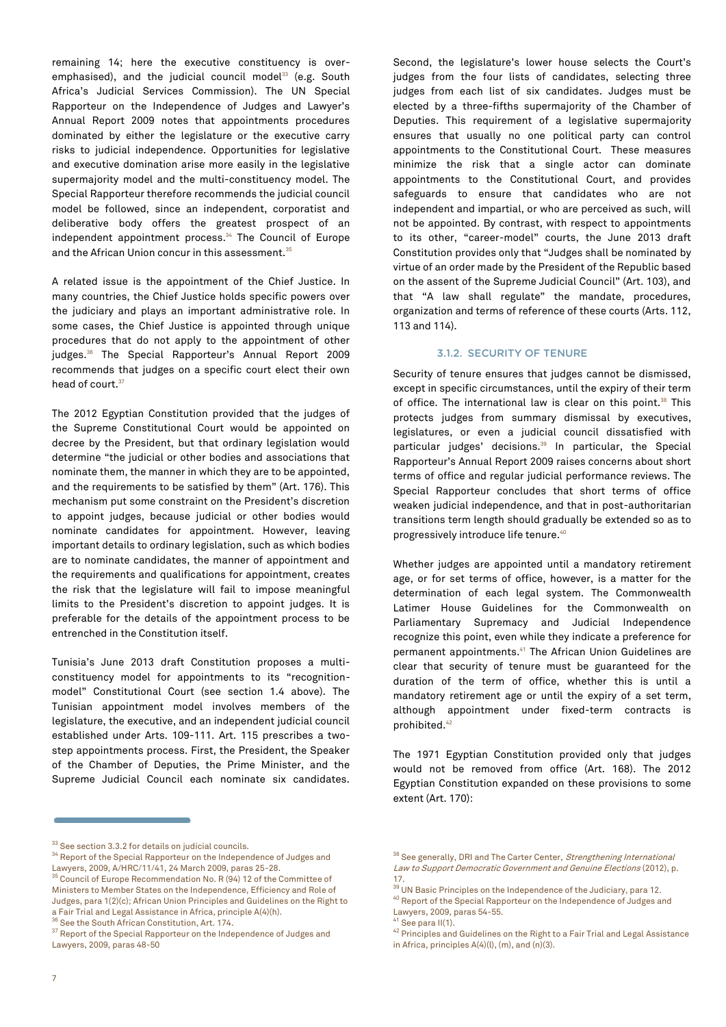remaining 14; here the executive constituency is overemphasised), and the judicial council model<sup>33</sup> (e.g. South Africa's Judicial Services Commission). The UN Special Rapporteur on the Independence of Judges and Lawyer's Annual Report 2009 notes that appointments procedures dominated by either the legislature or the executive carry risks to judicial independence. Opportunities for legislative and executive domination arise more easily in the legislative supermajority model and the multi-constituency model. The Special Rapporteur therefore recommends the judicial council model be followed, since an independent, corporatist and deliberative body offers the greatest prospect of an independent appointment process.<sup>34</sup> The Council of Europe and the African Union concur in this assessment.<sup>35</sup>

A related issue is the appointment of the Chief Justice. In many countries, the Chief Justice holds specific powers over the judiciary and plays an important administrative role. In some cases, the Chief Justice is appointed through unique procedures that do not apply to the appointment of other judges.<sup>36</sup> The Special Rapporteur's Annual Report 2009 recommends that judges on a specific court elect their own head of court.<sup>37</sup>

The 2012 Egyptian Constitution provided that the judges of the Supreme Constitutional Court would be appointed on decree by the President, but that ordinary legislation would determine "the judicial or other bodies and associations that nominate them, the manner in which they are to be appointed, and the requirements to be satisfied by them" (Art. 176). This mechanism put some constraint on the President's discretion to appoint judges, because judicial or other bodies would nominate candidates for appointment. However, leaving important details to ordinary legislation, such as which bodies are to nominate candidates, the manner of appointment and the requirements and qualifications for appointment, creates the risk that the legislature will fail to impose meaningful limits to the President's discretion to appoint judges. It is preferable for the details of the appointment process to be entrenched in the Constitution itself.

Tunisia's June 2013 draft Constitution proposes a multiconstituency model for appointments to its "recognitionmodel" Constitutional Court (see section 1.4 above). The Tunisian appointment model involves members of the legislature, the executive, and an independent judicial council established under Arts. 109-111. Art. 115 prescribes a twostep appointments process. First, the President, the Speaker of the Chamber of Deputies, the Prime Minister, and the Supreme Judicial Council each nominate six candidates.

Second, the legislature's lower house selects the Court's judges from the four lists of candidates, selecting three judges from each list of six candidates. Judges must be elected by a three-fifths supermajority of the Chamber of Deputies. This requirement of a legislative supermajority ensures that usually no one political party can control appointments to the Constitutional Court. These measures minimize the risk that a single actor can dominate appointments to the Constitutional Court, and provides safeguards to ensure that candidates who are not independent and impartial, or who are perceived as such, will not be appointed. By contrast, with respect to appointments to its other, "career-model" courts, the June 2013 draft Constitution provides only that "Judges shall be nominated by virtue of an order made by the President of the Republic based on the assent of the Supreme Judicial Council" (Art. 103), and that "A law shall regulate" the mandate, procedures, organization and terms of reference of these courts (Arts. 112, 113 and 114).

#### 3.1.2. SECURITY OF TENURE

Security of tenure ensures that judges cannot be dismissed, except in specific circumstances, until the expiry of their term of office. The international law is clear on this point.<sup>38</sup> This protects judges from summary dismissal by executives, legislatures, or even a judicial council dissatisfied with particular judges' decisions.<sup>39</sup> In particular, the Special Rapporteur's Annual Report 2009 raises concerns about short terms of office and regular judicial performance reviews. The Special Rapporteur concludes that short terms of office weaken judicial independence, and that in post-authoritarian transitions term length should gradually be extended so as to progressively introduce life tenure. 40

Whether judges are appointed until a mandatory retirement age, or for set terms of office, however, is a matter for the determination of each legal system. The Commonwealth Latimer House Guidelines for the Commonwealth on Parliamentary Supremacy and Judicial Independence recognize this point, even while they indicate a preference for permanent appointments.<sup>41</sup> The African Union Guidelines are clear that security of tenure must be guaranteed for the duration of the term of office, whether this is until a mandatory retirement age or until the expiry of a set term, although appointment under fixed-term contracts is prohibited.<sup>42</sup>

The 1971 Egyptian Constitution provided only that judges would not be removed from office (Art. 168). The 2012 Egyptian Constitution expanded on these provisions to some extent (Art. 170):

40 Report of the Special Rapporteur on the Independence of Judges and Lawyers, 2009, paras 54-55.

42 Principles and Guidelines on the Right to a Fair Trial and Legal Assistance in Africa, principles A(4)(l), (m), and (n)(3).

<sup>&</sup>lt;sup>33</sup> See section 3.3.2 for details on judicial councils.

 $^\mathrm{34}$  Report of the Special Rapporteur on the Independence of Judges and

Lawyers, 2009, A/HRC/11/41, 24 March 2009, paras 25-28.<br><sup>35</sup> Council of Europe Recommendation No. R (94) 12 of the Committee of Ministers to Member States on the Independence, Efficiency and Role of Judges, para 1(2)(c); African Union Principles and Guidelines on the Right to a Fair Trial and Legal Assistance in Africa, principle A(4)(h).

See the South African Constitution, Art. 174.

<sup>&</sup>lt;sup>37</sup> Report of the Special Rapporteur on the Independence of Judges and Lawyers, 2009, paras 48-50

<sup>&</sup>lt;sup>38</sup> See generally, DRI and The Carter Center, Strengthening International Law to Support Democratic Government and Genuine Elections (2012), p. 17.

<sup>&</sup>lt;sup>39</sup> UN Basic Principles on the Independence of the Judiciary, para 12.

See para II(1).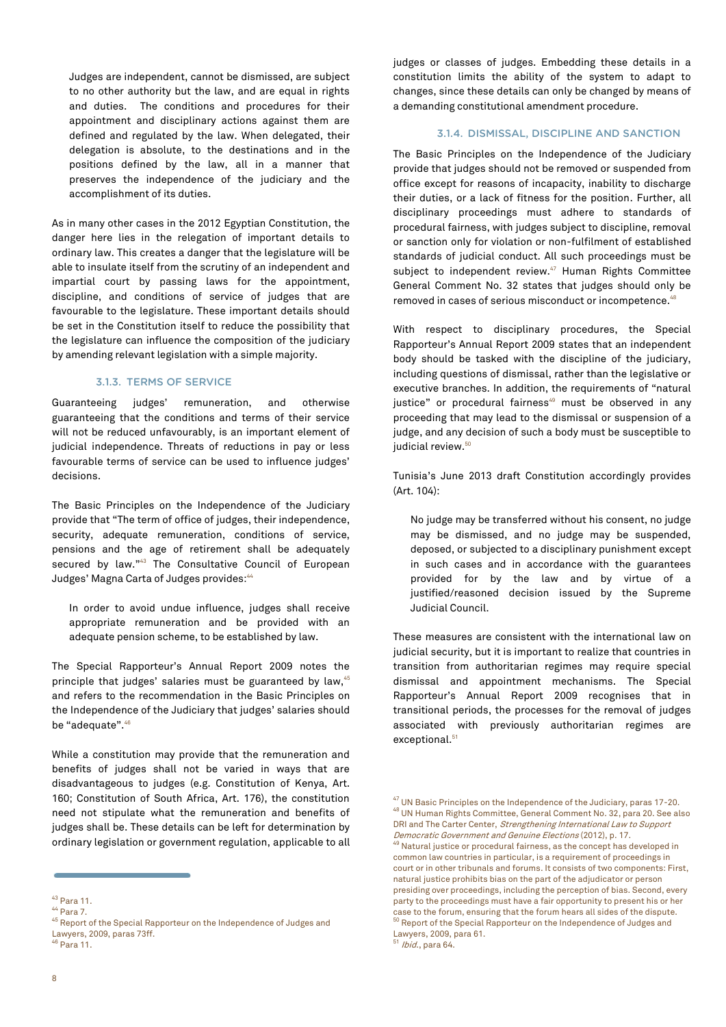Judges are independent, cannot be dismissed, are subject to no other authority but the law, and are equal in rights and duties. The conditions and procedures for their appointment and disciplinary actions against them are defined and regulated by the law. When delegated, their delegation is absolute, to the destinations and in the positions defined by the law, all in a manner that preserves the independence of the judiciary and the accomplishment of its duties.

As in many other cases in the 2012 Egyptian Constitution, the danger here lies in the relegation of important details to ordinary law. This creates a danger that the legislature will be able to insulate itself from the scrutiny of an independent and impartial court by passing laws for the appointment, discipline, and conditions of service of judges that are favourable to the legislature. These important details should be set in the Constitution itself to reduce the possibility that the legislature can influence the composition of the judiciary by amending relevant legislation with a simple majority.

#### 3.1.3. TERMS OF SERVICE

Guaranteeing judges' remuneration, and otherwise guaranteeing that the conditions and terms of their service will not be reduced unfavourably, is an important element of judicial independence. Threats of reductions in pay or less favourable terms of service can be used to influence judges' decisions.

The Basic Principles on the Independence of the Judiciary provide that "The term of office of judges, their independence, security, adequate remuneration, conditions of service, pensions and the age of retirement shall be adequately secured by law."<sup>43</sup> The Consultative Council of European Judges' Magna Carta of Judges provides: 44

In order to avoid undue influence, judges shall receive appropriate remuneration and be provided with an adequate pension scheme, to be established by law.

The Special Rapporteur's Annual Report 2009 notes the principle that judges' salaries must be guaranteed by law, 45 and refers to the recommendation in the Basic Principles on the Independence of the Judiciary that judges' salaries should be "adequate".<sup>46</sup>

While a constitution may provide that the remuneration and benefits of judges shall not be varied in ways that are disadvantageous to judges (e.g. Constitution of Kenya, Art. 160; Constitution of South Africa, Art. 176), the constitution need not stipulate what the remuneration and benefits of judges shall be. These details can be left for determination by ordinary legislation or government regulation, applicable to all

<sup>46</sup> Para 11.

judges or classes of judges. Embedding these details in a constitution limits the ability of the system to adapt to changes, since these details can only be changed by means of a demanding constitutional amendment procedure.

#### 3.1.4. DISMISSAL, DISCIPLINE AND SANCTION

The Basic Principles on the Independence of the Judiciary provide that judges should not be removed or suspended from office except for reasons of incapacity, inability to discharge their duties, or a lack of fitness for the position. Further, all disciplinary proceedings must adhere to standards of procedural fairness, with judges subject to discipline, removal or sanction only for violation or non-fulfilment of established standards of judicial conduct. All such proceedings must be subject to independent review.<sup>47</sup> Human Rights Committee General Comment No. 32 states that judges should only be removed in cases of serious misconduct or incompetence.<sup>48</sup>

With respect to disciplinary procedures, the Special Rapporteur's Annual Report 2009 states that an independent body should be tasked with the discipline of the judiciary, including questions of dismissal, rather than the legislative or executive branches. In addition, the requirements of "natural justice" or procedural fairness<sup>49</sup> must be observed in any proceeding that may lead to the dismissal or suspension of a judge, and any decision of such a body must be susceptible to judicial review.<sup>50</sup>

Tunisia's June 2013 draft Constitution accordingly provides (Art. 104):

No judge may be transferred without his consent, no judge may be dismissed, and no judge may be suspended, deposed, or subjected to a disciplinary punishment except in such cases and in accordance with the guarantees provided for by the law and by virtue of a justified/reasoned decision issued by the Supreme Judicial Council.

These measures are consistent with the international law on judicial security, but it is important to realize that countries in transition from authoritarian regimes may require special dismissal and appointment mechanisms. The Special Rapporteur's Annual Report 2009 recognises that in transitional periods, the processes for the removal of judges associated with previously authoritarian regimes are exceptional.<sup>51</sup>

<sup>43</sup> Para 11.

<sup>44</sup> Para 7.

<sup>45</sup> Report of the Special Rapporteur on the Independence of Judges and Lawyers, 2009, paras 73ff.

<sup>47</sup> UN Basic Principles on the Independence of the Judiciary, paras 17-20. <sup>48</sup> UN Human Rights Committee, General Comment No. 32, para 20. See also DRI and The Carter Center, Strengthening International Law to Support Democratic Government and Genuine Elections (2012), p. 17.

<sup>49</sup> Natural justice or procedural fairness, as the concept has developed in common law countries in particular, is a requirement of proceedings in court or in other tribunals and forums. It consists of two components: First, natural justice prohibits bias on the part of the adjudicator or person presiding over proceedings, including the perception of bias. Second, every party to the proceedings must have a fair opportunity to present his or her case to the forum, ensuring that the forum hears all sides of the dispute.<br><sup>50</sup> Report of the Special Rapporteur on the Independence of Judges and Lawyers, 2009, para 61.

<sup>&</sup>lt;sup>51</sup> *Ibid.*, para 64.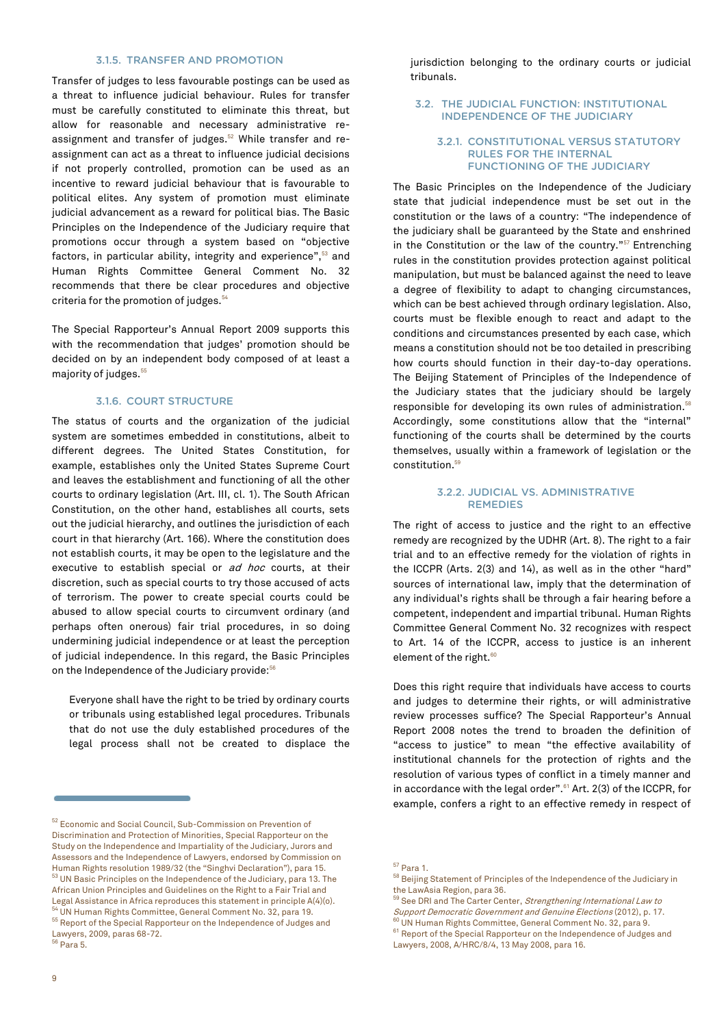#### 3.1.5. TRANSFER AND PROMOTION

Transfer of judges to less favourable postings can be used as a threat to influence judicial behaviour. Rules for transfer must be carefully constituted to eliminate this threat, but allow for reasonable and necessary administrative reassignment and transfer of judges.<sup>52</sup> While transfer and reassignment can act as a threat to influence judicial decisions if not properly controlled, promotion can be used as an incentive to reward judicial behaviour that is favourable to political elites. Any system of promotion must eliminate judicial advancement as a reward for political bias. The Basic Principles on the Independence of the Judiciary require that promotions occur through a system based on "objective factors, in particular ability, integrity and experience",<sup>53</sup> and Human Rights Committee General Comment No. 32 recommends that there be clear procedures and objective criteria for the promotion of judges.<sup>54</sup>

The Special Rapporteur's Annual Report 2009 supports this with the recommendation that judges' promotion should be decided on by an independent body composed of at least a majority of judges.<sup>55</sup>

#### 3.1.6. COURT STRUCTURE

The status of courts and the organization of the judicial system are sometimes embedded in constitutions, albeit to different degrees. The United States Constitution, for example, establishes only the United States Supreme Court and leaves the establishment and functioning of all the other courts to ordinary legislation (Art. III, cl. 1). The South African Constitution, on the other hand, establishes all courts, sets out the judicial hierarchy, and outlines the jurisdiction of each court in that hierarchy (Art. 166). Where the constitution does not establish courts, it may be open to the legislature and the executive to establish special or ad hoc courts, at their discretion, such as special courts to try those accused of acts of terrorism. The power to create special courts could be abused to allow special courts to circumvent ordinary (and perhaps often onerous) fair trial procedures, in so doing undermining judicial independence or at least the perception of judicial independence. In this regard, the Basic Principles on the Independence of the Judiciary provide:<sup>56</sup>

Everyone shall have the right to be tried by ordinary courts or tribunals using established legal procedures. Tribunals that do not use the duly established procedures of the legal process shall not be created to displace the

jurisdiction belonging to the ordinary courts or judicial tribunals.

#### 3.2. THE JUDICIAL FUNCTION: INSTITUTIONAL INDEPENDENCE OF THE JUDICIARY

#### 3.2.1. CONSTITUTIONAL VERSUS STATUTORY RULES FOR THE INTERNAL FUNCTIONING OF THE JUDICIARY

The Basic Principles on the Independence of the Judiciary state that judicial independence must be set out in the constitution or the laws of a country: "The independence of the judiciary shall be guaranteed by the State and enshrined in the Constitution or the law of the country."<sup>57</sup> Entrenching rules in the constitution provides protection against political manipulation, but must be balanced against the need to leave a degree of flexibility to adapt to changing circumstances, which can be best achieved through ordinary legislation. Also, courts must be flexible enough to react and adapt to the conditions and circumstances presented by each case, which means a constitution should not be too detailed in prescribing how courts should function in their day-to-day operations. The Beijing Statement of Principles of the Independence of the Judiciary states that the judiciary should be largely responsible for developing its own rules of administration.<sup>58</sup> Accordingly, some constitutions allow that the "internal" functioning of the courts shall be determined by the courts themselves, usually within a framework of legislation or the constitution.<sup>59</sup>

#### 3.2.2. JUDICIAL VS. ADMINISTRATIVE REMEDIES

The right of access to justice and the right to an effective remedy are recognized by the UDHR (Art. 8). The right to a fair trial and to an effective remedy for the violation of rights in the ICCPR (Arts. 2(3) and 14), as well as in the other "hard" sources of international law, imply that the determination of any individual's rights shall be through a fair hearing before a competent, independent and impartial tribunal. Human Rights Committee General Comment No. 32 recognizes with respect to Art. 14 of the ICCPR, access to justice is an inherent element of the right.<sup>60</sup>

Does this right require that individuals have access to courts and judges to determine their rights, or will administrative review processes suffice? The Special Rapporteur's Annual Report 2008 notes the trend to broaden the definition of "access to justice" to mean "the effective availability of institutional channels for the protection of rights and the resolution of various types of conflict in a timely manner and in accordance with the legal order".<sup>61</sup> Art. 2(3) of the ICCPR, for example, confers a right to an effective remedy in respect of

<sup>52</sup> Economic and Social Council, Sub-Commission on Prevention of Discrimination and Protection of Minorities, Special Rapporteur on the Study on the Independence and Impartiality of the Judiciary, Jurors and Assessors and the Independence of Lawyers, endorsed by Commission on Human Rights resolution 1989/32 (the "Singhvi Declaration"), para 15. <sup>53</sup> UN Basic Principles on the Independence of the Judiciary, para 13. The African Union Principles and Guidelines on the Right to a Fair Trial and Legal Assistance in Africa reproduces this statement in principle A(4)(o).  $^{\circ}$ UN Human Rights Committee, General Comment No. 32, para 19. <sup>55</sup> Report of the Special Rapporteur on the Independence of Judges and Lawyers, 2009, paras 68-72. <sup>56</sup> Para 5.

<sup>57</sup> Para 1.

 $^{58}$  Beijing Statement of Principles of the Independence of the Judiciary in the LawAsia Region, para 36.

<sup>&</sup>lt;sup>59</sup> See DRI and The Carter Center, *Strengthening International Law to* Support Democratic Government and Genuine Elections (2012), p. 17.

 $^{\text{\tiny{0}}}$  UN Human Rights Committee, General Comment No. 32, para 9.

<sup>&</sup>lt;sup>61</sup> Report of the Special Rapporteur on the Independence of Judges and Lawyers, 2008, A/HRC/8/4, 13 May 2008, para 16.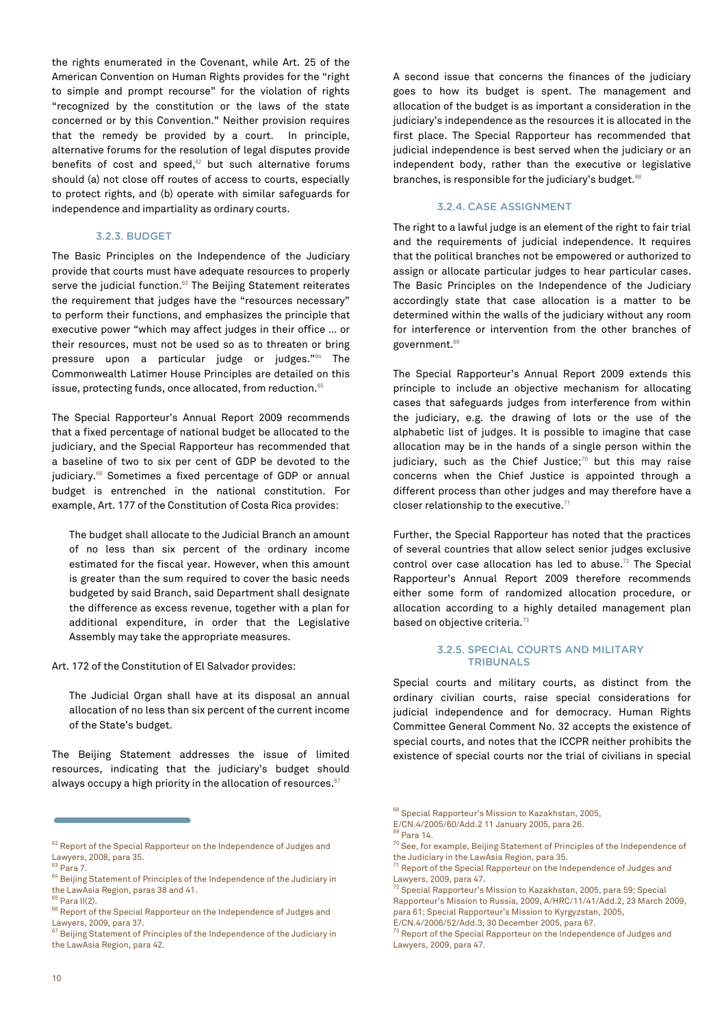the rights enumerated in the Covenant, while Art. 25 of the American Convention on Human Rights provides for the "right to simple and prompt recourse" for the violation of rights "recognized by the constitution or the laws of the state concerned or by this Convention." Neither provision requires that the remedy be provided by a court. In principle, alternative forums for the resolution of legal disputes provide benefits of cost and speed, $62$  but such alternative forums should (a) not close off routes of access to courts, especially to protect rights, and (b) operate with similar safeguards for independence and impartiality as ordinary courts.

#### 3.2.3. BUDGET

The Basic Principles on the Independence of the Judiciary provide that courts must have adequate resources to properly serve the judicial function.<sup>63</sup> The Beijing Statement reiterates the requirement that judges have the "resources necessary" to perform their functions, and emphasizes the principle that executive power "which may affect judges in their office … or their resources, must not be used so as to threaten or bring pressure upon a particular judge or judges."<sup>64</sup> The Commonwealth Latimer House Principles are detailed on this issue, protecting funds, once allocated, from reduction.<sup>65</sup>

The Special Rapporteur's Annual Report 2009 recommends that a fixed percentage of national budget be allocated to the judiciary, and the Special Rapporteur has recommended that a baseline of two to six per cent of GDP be devoted to the judiciary.<sup>66</sup> Sometimes a fixed percentage of GDP or annual budget is entrenched in the national constitution. For example, Art. 177 of the Constitution of Costa Rica provides:

The budget shall allocate to the Judicial Branch an amount of no less than six percent of the ordinary income estimated for the fiscal year. However, when this amount is greater than the sum required to cover the basic needs budgeted by said Branch, said Department shall designate the difference as excess revenue, together with a plan for additional expenditure, in order that the Legislative Assembly may take the appropriate measures.

Art. 172 of the Constitution of El Salvador provides:

The Judicial Organ shall have at its disposal an annual allocation of no less than six percent of the current income of the State's budget.

The Beijing Statement addresses the issue of limited resources, indicating that the judiciary's budget should always occupy a high priority in the allocation of resources. $67$ 

A second issue that concerns the finances of the judiciary goes to how its budget is spent. The management and allocation of the budget is as important a consideration in the judiciary's independence as the resources it is allocated in the first place. The Special Rapporteur has recommended that judicial independence is best served when the judiciary or an independent body, rather than the executive or legislative branches, is responsible for the judiciary's budget.<sup>68</sup>

#### 3.2.4. CASE ASSIGNMENT

The right to a lawful judge is an element of the right to fair trial and the requirements of judicial independence. It requires that the political branches not be empowered or authorized to assign or allocate particular judges to hear particular cases. The Basic Principles on the Independence of the Judiciary accordingly state that case allocation is a matter to be determined within the walls of the judiciary without any room for interference or intervention from the other branches of government.<sup>69</sup>

The Special Rapporteur's Annual Report 2009 extends this principle to include an objective mechanism for allocating cases that safeguards judges from interference from within the judiciary, e.g. the drawing of lots or the use of the alphabetic list of judges. It is possible to imagine that case allocation may be in the hands of a single person within the judiciary, such as the Chief Justice; $70$  but this may raise concerns when the Chief Justice is appointed through a different process than other judges and may therefore have a closer relationship to the executive.<sup>71</sup>

Further, the Special Rapporteur has noted that the practices of several countries that allow select senior judges exclusive control over case allocation has led to abuse.<sup>72</sup> The Special Rapporteur's Annual Report 2009 therefore recommends either some form of randomized allocation procedure, or allocation according to a highly detailed management plan based on objective criteria.<sup>73</sup>

#### 3.2.5. SPECIAL COURTS AND MILITARY TRIBUNALS

Special courts and military courts, as distinct from the ordinary civilian courts, raise special considerations for judicial independence and for democracy. Human Rights Committee General Comment No. 32 accepts the existence of special courts, and notes that the ICCPR neither prohibits the existence of special courts nor the trial of civilians in special

<sup>&</sup>lt;sup>62</sup> Report of the Special Rapporteur on the Independence of Judges and Lawyers, 2008, para 35.

 $63$  Para 7.

<sup>64</sup> Beijing Statement of Principles of the Independence of the Judiciary in the LawAsia Region, paras 38 and 41.

<sup>65</sup> Para II(2).  $^{66}$  Report of the Special Rapporteur on the Independence of Judges and

Lawyers, 2009, para 37.<br><sup>67</sup> Beijing Statement of Principles of the Independence of the Judiciary in the LawAsia Region, para 42.

<sup>68</sup> Special Rapporteur's Mission to Kazakhstan, 2005,

E/CN.4/2005/60/Add.2 11 January 2005, para 26.

<sup>69</sup> Para 14.

 $70$  See, for example, Beijing Statement of Principles of the Independence of the Judiciary in the LawAsia Region, para 35.

 $^1$  Report of the Special Rapporteur on the Independence of Judges and Lawyers, 2009, para 47.

<sup>&</sup>lt;sup>72</sup> Special Rapporteur's Mission to Kazakhstan, 2005, para 59; Special Rapporteur's Mission to Russia, 2009, A/HRC/11/41/Add.2, 23 March 2009, para 61; Special Rapporteur's Mission to Kyrgyzstan, 2005,

E/CN.4/2006/52/Add.3, 30 December 2005, para 67.

 $^{73}$  Report of the Special Rapporteur on the Independence of Judges and Lawyers, 2009, para 47.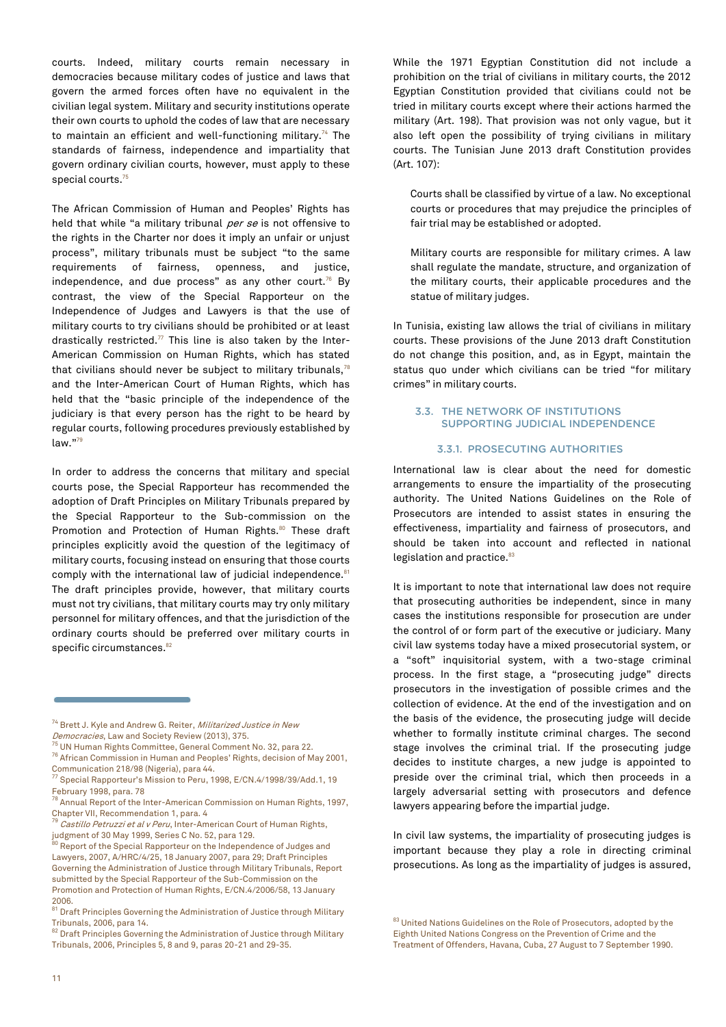courts. Indeed, military courts remain necessary in democracies because military codes of justice and laws that govern the armed forces often have no equivalent in the civilian legal system. Military and security institutions operate their own courts to uphold the codes of law that are necessary to maintain an efficient and well-functioning military.<sup>74</sup> The standards of fairness, independence and impartiality that govern ordinary civilian courts, however, must apply to these special courts.<sup>75</sup>

The African Commission of Human and Peoples' Rights has held that while "a military tribunal per se is not offensive to the rights in the Charter nor does it imply an unfair or unjust process", military tribunals must be subject "to the same requirements of fairness, openness, and justice, independence, and due process" as any other court. $76$  By contrast, the view of the Special Rapporteur on the Independence of Judges and Lawyers is that the use of military courts to try civilians should be prohibited or at least drastically restricted. $77$  This line is also taken by the Inter-American Commission on Human Rights, which has stated that civilians should never be subject to military tribunals, $78$ and the Inter-American Court of Human Rights, which has held that the "basic principle of the independence of the judiciary is that every person has the right to be heard by regular courts, following procedures previously established by law."<sup>79</sup>

In order to address the concerns that military and special courts pose, the Special Rapporteur has recommended the adoption of Draft Principles on Military Tribunals prepared by the Special Rapporteur to the Sub-commission on the Promotion and Protection of Human Rights.<sup>80</sup> These draft principles explicitly avoid the question of the legitimacy of military courts, focusing instead on ensuring that those courts comply with the international law of judicial independence.<sup>81</sup> The draft principles provide, however, that military courts must not try civilians, that military courts may try only military personnel for military offences, and that the jurisdiction of the ordinary courts should be preferred over military courts in specific circumstances.<sup>82</sup>

While the 1971 Egyptian Constitution did not include a prohibition on the trial of civilians in military courts, the 2012 Egyptian Constitution provided that civilians could not be tried in military courts except where their actions harmed the military (Art. 198). That provision was not only vague, but it also left open the possibility of trying civilians in military courts. The Tunisian June 2013 draft Constitution provides (Art. 107):

Courts shall be classified by virtue of a law. No exceptional courts or procedures that may prejudice the principles of fair trial may be established or adopted.

Military courts are responsible for military crimes. A law shall regulate the mandate, structure, and organization of the military courts, their applicable procedures and the statue of military judges.

In Tunisia, existing law allows the trial of civilians in military courts. These provisions of the June 2013 draft Constitution do not change this position, and, as in Egypt, maintain the status quo under which civilians can be tried "for military crimes" in military courts.

#### 3.3. THE NETWORK OF INSTITUTIONS SUPPORTING JUDICIAL INDEPENDENCE

#### 3.3.1. PROSECUTING AUTHORITIES

International law is clear about the need for domestic arrangements to ensure the impartiality of the prosecuting authority. The United Nations Guidelines on the Role of Prosecutors are intended to assist states in ensuring the effectiveness, impartiality and fairness of prosecutors, and should be taken into account and reflected in national legislation and practice.<sup>83</sup>

It is important to note that international law does not require that prosecuting authorities be independent, since in many cases the institutions responsible for prosecution are under the control of or form part of the executive or judiciary. Many civil law systems today have a mixed prosecutorial system, or a "soft" inquisitorial system, with a two-stage criminal process. In the first stage, a "prosecuting judge" directs prosecutors in the investigation of possible crimes and the collection of evidence. At the end of the investigation and on the basis of the evidence, the prosecuting judge will decide whether to formally institute criminal charges. The second stage involves the criminal trial. If the prosecuting judge decides to institute charges, a new judge is appointed to preside over the criminal trial, which then proceeds in a largely adversarial setting with prosecutors and defence lawyers appearing before the impartial judge.

In civil law systems, the impartiality of prosecuting judges is important because they play a role in directing criminal prosecutions. As long as the impartiality of judges is assured,

 $^{83}$  United Nations Guidelines on the Role of Prosecutors, adopted by the Eighth United Nations Congress on the Prevention of Crime and the Treatment of Offenders, Havana, Cuba, 27 August to 7 September 1990.

<sup>&</sup>lt;sup>74</sup> Brett J. Kyle and Andrew G. Reiter, *Militarized Justice in New* Democracies, Law and Society Review (2013), 375.

<sup>75</sup> UN Human Rights Committee, General Comment No. 32, para 22.

<sup>76</sup> African Commission in Human and Peoples' Rights, decision of May 2001, Communication 218/98 (Nigeria), para 44.

<sup>77</sup> Special Rapporteur's Mission to Peru, 1998, E/CN.4/1998/39/Add.1, 19 February 1998, para. 78

<sup>78</sup> Annual Report of the Inter-American Commission on Human Rights, 1997, Chapter VII, Recommendation 1, para. 4

 $79$  Castillo Petruzzi et al v Peru, Inter-American Court of Human Rights, judgment of 30 May 1999, Series C No. 52, para 129.

<sup>80</sup> Report of the Special Rapporteur on the Independence of Judges and Lawyers, 2007, A/HRC/4/25, 18 January 2007, para 29; Draft Principles Governing the Administration of Justice through Military Tribunals, Report submitted by the Special Rapporteur of the Sub-Commission on the Promotion and Protection of Human Rights, E/CN.4/2006/58, 13 January 2006.

 $^{\rm 81}$  Draft Principles Governing the Administration of Justice through Military Tribunals, 2006, para 14.

<sup>82</sup> Draft Principles Governing the Administration of Justice through Military Tribunals, 2006, Principles 5, 8 and 9, paras 20-21 and 29-35.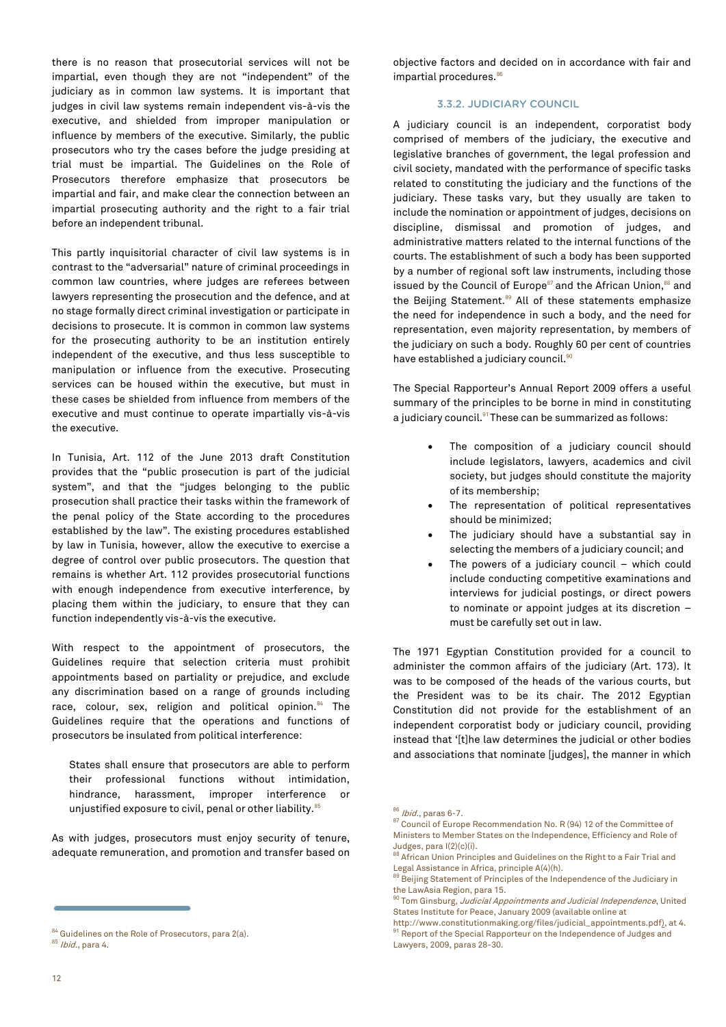influence by members of the executive. Similarly, the public prosecutors who try the cases before the judge presiding at trial must be impartial. The Guidelines on the Role of Prosecutors therefore emphasize that prosecutors be impartial and fair, and make clear the connection between an impartial prosecuting authority and the right to a fair trial before an independent tribunal. This partly inquisitorial character of civil law systems is in contrast to the "adversarial" nature of criminal proceedings in

common law countries, where judges are referees between lawyers representing the prosecution and the defence, and at no stage formally direct criminal investigation or participate in decisions to prosecute. It is common in common law systems for the prosecuting authority to be an institution entirely independent of the executive, and thus less susceptible to manipulation or influence from the executive. Prosecuting services can be housed within the executive, but must in these cases be shielded from influence from members of the executive and must continue to operate impartially vis-à-vis the executive.

there is no reason that prosecutorial services will not be impartial, even though they are not "independent" of the judiciary as in common law systems. It is important that judges in civil law systems remain independent vis-à-vis the executive, and shielded from improper manipulation or

In Tunisia, Art. 112 of the June 2013 draft Constitution provides that the "public prosecution is part of the judicial system", and that the "judges belonging to the public prosecution shall practice their tasks within the framework of the penal policy of the State according to the procedures established by the law". The existing procedures established by law in Tunisia, however, allow the executive to exercise a degree of control over public prosecutors. The question that remains is whether Art. 112 provides prosecutorial functions with enough independence from executive interference, by placing them within the judiciary, to ensure that they can function independently vis-à-vis the executive.

With respect to the appointment of prosecutors, the Guidelines require that selection criteria must prohibit appointments based on partiality or prejudice, and exclude any discrimination based on a range of grounds including race, colour, sex, religion and political opinion.<sup>84</sup> The Guidelines require that the operations and functions of prosecutors be insulated from political interference:

States shall ensure that prosecutors are able to perform their professional functions without intimidation, hindrance, harassment, improper interference unjustified exposure to civil, penal or other liability.<sup>85</sup>

As with judges, prosecutors must enjoy security of tenure, adequate remuneration, and promotion and transfer based on objective factors and decided on in accordance with fair and impartial procedures.<sup>86</sup>

#### 3.3.2. JUDICIARY COUNCIL

A judiciary council is an independent, corporatist body comprised of members of the judiciary, the executive and legislative branches of government, the legal profession and civil society, mandated with the performance of specific tasks related to constituting the judiciary and the functions of the judiciary. These tasks vary, but they usually are taken to include the nomination or appointment of judges, decisions on discipline, dismissal and promotion of judges, and administrative matters related to the internal functions of the courts. The establishment of such a body has been supported by a number of regional soft law instruments, including those issued by the Council of Europe<sup>87</sup> and the African Union,<sup>88</sup> and the Beijing Statement.<sup>89</sup> All of these statements emphasize the need for independence in such a body, and the need for representation, even majority representation, by members of the judiciary on such a body. Roughly 60 per cent of countries have established a judiciary council.<sup>90</sup>

The Special Rapporteur's Annual Report 2009 offers a useful summary of the principles to be borne in mind in constituting a judiciary council.<sup>91</sup> These can be summarized as follows:

- The composition of a judiciary council should include legislators, lawyers, academics and civil society, but judges should constitute the majority of its membership;
- The representation of political representatives should be minimized;
- The judiciary should have a substantial say in selecting the members of a judiciary council; and
- The powers of a judiciary council which could include conducting competitive examinations and interviews for judicial postings, or direct powers to nominate or appoint judges at its discretion – must be carefully set out in law.

The 1971 Egyptian Constitution provided for a council to administer the common affairs of the judiciary (Art. 173). It was to be composed of the heads of the various courts, but the President was to be its chair. The 2012 Egyptian Constitution did not provide for the establishment of an independent corporatist body or judiciary council, providing instead that '[t]he law determines the judicial or other bodies and associations that nominate [judges], the manner in which

<sup>84</sup> Guidelines on the Role of Prosecutors, para 2(a). <sup>85</sup> Ibid., para 4.

<sup>86</sup> *Ibid.*, paras 6-7.

<sup>87</sup> Council of Europe Recommendation No. R (94) 12 of the Committee of Ministers to Member States on the Independence, Efficiency and Role of Judges, para I(2)(c)(i).

<sup>88</sup> African Union Principles and Guidelines on the Right to a Fair Trial and Legal Assistance in Africa, principle A(4)(h).

Beijing Statement of Principles of the Independence of the Judiciary in the LawAsia Region, para 15.

<sup>90</sup> Tom Ginsburg, Judicial Appointments and Judicial Independence, United States Institute for Peace, January 2009 (available online at

[http://www.constitutionmaking.org/files/judicial\\_appointments.pdf\)](http://www.constitutionmaking.org/files/judicial_appointments.pdf), at 4. <sup>91</sup> Report of the Special Rapporteur on the Independence of Judges and Lawyers, 2009, paras 28-30.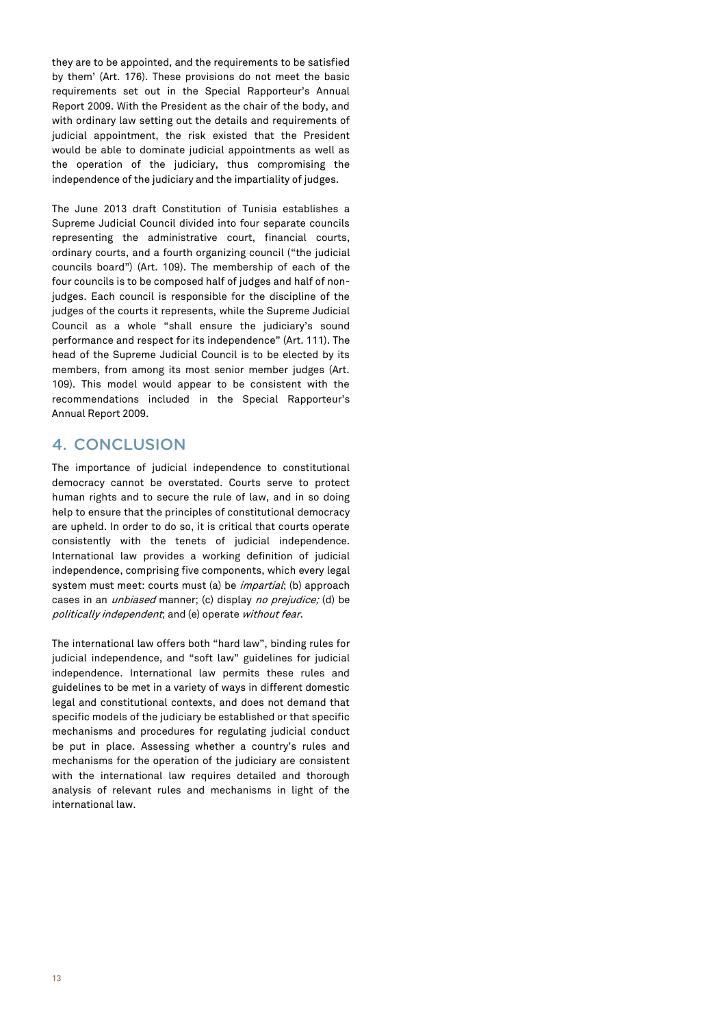they are to be appointed, and the requirements to be satisfied by them' (Art. 176). These provisions do not meet the basic requirements set out in the Special Rapporteur's Annual Report 2009. With the President as the chair of the body, and with ordinary law setting out the details and requirements of judicial appointment, the risk existed that the President would be able to dominate judicial appointments as well as the operation of the judiciary, thus compromising the independence of the judiciary and the impartiality of judges.

The June 2013 draft Constitution of Tunisia establishes a Supreme Judicial Council divided into four separate councils representing the administrative court, financial courts, ordinary courts, and a fourth organizing council ("the judicial councils board") (Art. 109). The membership of each of the four councils is to be composed half of judges and half of nonjudges. Each council is responsible for the discipline of the judges of the courts it represents, while the Supreme Judicial Council as a whole "shall ensure the judiciary's sound performance and respect for its independence" (Art. 111). The head of the Supreme Judicial Council is to be elected by its members, from among its most senior member judges (Art. 109). This model would appear to be consistent with the recommendations included in the Special Rapporteur's Annual Report 2009.

# 4. CONCLUSION

The importance of judicial independence to constitutional democracy cannot be overstated. Courts serve to protect human rights and to secure the rule of law, and in so doing help to ensure that the principles of constitutional democracy are upheld. In order to do so, it is critical that courts operate consistently with the tenets of judicial independence. International law provides a working definition of judicial independence, comprising five components, which every legal system must meet: courts must (a) be *impartial*; (b) approach cases in an *unbiased* manner; (c) display *no prejudice;* (d) be politically independent; and (e) operate without fear.

The international law offers both "hard law", binding rules for judicial independence, and "soft law" guidelines for judicial independence. International law permits these rules and guidelines to be met in a variety of ways in different domestic legal and constitutional contexts, and does not demand that specific models of the judiciary be established or that specific mechanisms and procedures for regulating judicial conduct be put in place. Assessing whether a country's rules and mechanisms for the operation of the judiciary are consistent with the international law requires detailed and thorough analysis of relevant rules and mechanisms in light of the international law.